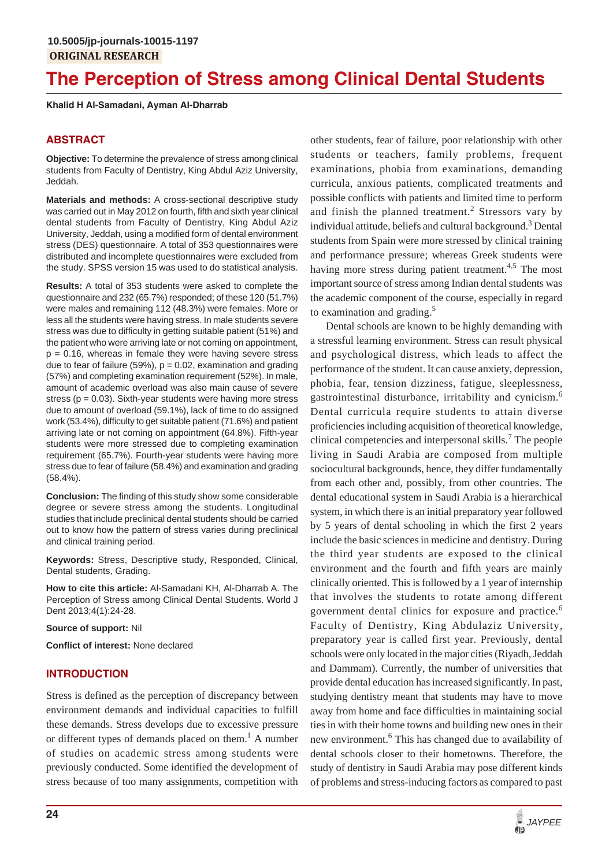# **The Perception of Stress among Clinical Dental Students**

**Khalid H Al-Samadani, Ayman Al-Dharrab**

# **ABSTRACT**

**Objective:** To determine the prevalence of stress among clinical students from Faculty of Dentistry, King Abdul Aziz University, Jeddah.

**Materials and methods:** A cross-sectional descriptive study was carried out in May 2012 on fourth, fifth and sixth year clinical dental students from Faculty of Dentistry, King Abdul Aziz University, Jeddah, using a modified form of dental environment stress (DES) questionnaire. A total of 353 questionnaires were distributed and incomplete questionnaires were excluded from the study. SPSS version 15 was used to do statistical analysis.

**Results:** A total of 353 students were asked to complete the questionnaire and 232 (65.7%) responded; of these 120 (51.7%) were males and remaining 112 (48.3%) were females. More or less all the students were having stress. In male students severe stress was due to difficulty in getting suitable patient (51%) and the patient who were arriving late or not coming on appointment,  $p = 0.16$ , whereas in female they were having severe stress due to fear of failure (59%),  $p = 0.02$ , examination and grading (57%) and completing examination requirement (52%). In male, amount of academic overload was also main cause of severe stress ( $p = 0.03$ ). Sixth-year students were having more stress due to amount of overload (59.1%), lack of time to do assigned work (53.4%), difficulty to get suitable patient (71.6%) and patient arriving late or not coming on appointment (64.8%). Fifth-year students were more stressed due to completing examination requirement (65.7%). Fourth-year students were having more stress due to fear of failure (58.4%) and examination and grading (58.4%).

**Conclusion:** The finding of this study show some considerable degree or severe stress among the students. Longitudinal studies that include preclinical dental students should be carried out to know how the pattern of stress varies during preclinical and clinical training period.

**Keywords:** Stress, Descriptive study, Responded, Clinical, Dental students, Grading.

**How to cite this article:** Al-Samadani KH, Al-Dharrab A. The Perception of Stress among Clinical Dental Students. World J Dent 2013;4(1):24-28.

**Source of support:** Nil

**Conflict of interest:** None declared

# **INTRODUCTION**

Stress is defined as the perception of discrepancy between environment demands and individual capacities to fulfill these demands. Stress develops due to excessive pressure or different types of demands placed on them.<sup>1</sup> A number of studies on academic stress among students were previously conducted. Some identified the development of stress because of too many assignments, competition with

other students, fear of failure, poor relationship with other students or teachers, family problems, frequent examinations, phobia from examinations, demanding curricula, anxious patients, complicated treatments and possible conflicts with patients and limited time to perform and finish the planned treatment.<sup>2</sup> Stressors vary by individual attitude, beliefs and cultural background.<sup>3</sup> Dental students from Spain were more stressed by clinical training and performance pressure; whereas Greek students were having more stress during patient treatment.<sup>4,5</sup> The most important source of stress among Indian dental students was the academic component of the course, especially in regard to examination and grading. $5$ 

Dental schools are known to be highly demanding with a stressful learning environment. Stress can result physical and psychological distress, which leads to affect the performance of the student. It can cause anxiety, depression, phobia, fear, tension dizziness, fatigue, sleeplessness, gastrointestinal disturbance, irritability and cynicism.<sup>6</sup> Dental curricula require students to attain diverse proficiencies including acquisition of theoretical knowledge, clinical competencies and interpersonal skills.<sup>7</sup> The people living in Saudi Arabia are composed from multiple sociocultural backgrounds, hence, they differ fundamentally from each other and, possibly, from other countries. The dental educational system in Saudi Arabia is a hierarchical system, in which there is an initial preparatory year followed by 5 years of dental schooling in which the first 2 years include the basic sciences in medicine and dentistry. During the third year students are exposed to the clinical environment and the fourth and fifth years are mainly clinically oriented. This is followed by a 1 year of internship that involves the students to rotate among different government dental clinics for exposure and practice.<sup>6</sup> Faculty of Dentistry, King Abdulaziz University, preparatory year is called first year. Previously, dental schools were only located in the major cities (Riyadh, Jeddah and Dammam). Currently, the number of universities that provide dental education has increased significantly. In past, studying dentistry meant that students may have to move away from home and face difficulties in maintaining social ties in with their home towns and building new ones in their new environment.<sup>6</sup> This has changed due to availability of dental schools closer to their hometowns. Therefore, the study of dentistry in Saudi Arabia may pose different kinds of problems and stress-inducing factors as compared to past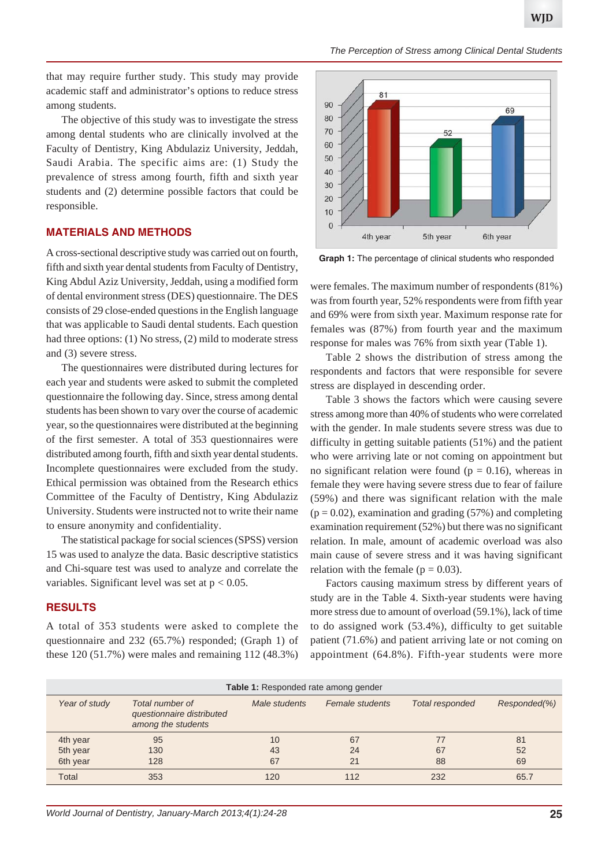*The Perception of Stress among Clinical Dental Students*

that may require further study. This study may provide academic staff and administrator's options to reduce stress among students.

The objective of this study was to investigate the stress among dental students who are clinically involved at the Faculty of Dentistry, King Abdulaziz University, Jeddah, Saudi Arabia. The specific aims are: (1) Study the prevalence of stress among fourth, fifth and sixth year students and (2) determine possible factors that could be responsible.

#### **MATERIALS AND METHODS**

A cross-sectional descriptive study was carried out on fourth, fifth and sixth year dental students from Faculty of Dentistry, King Abdul Aziz University, Jeddah, using a modified form of dental environment stress (DES) questionnaire. The DES consists of 29 close-ended questions in the English language that was applicable to Saudi dental students. Each question had three options: (1) No stress, (2) mild to moderate stress and (3) severe stress.

The questionnaires were distributed during lectures for each year and students were asked to submit the completed questionnaire the following day. Since, stress among dental students has been shown to vary over the course of academic year, so the questionnaires were distributed at the beginning of the first semester. A total of 353 questionnaires were distributed among fourth, fifth and sixth year dental students. Incomplete questionnaires were excluded from the study. Ethical permission was obtained from the Research ethics Committee of the Faculty of Dentistry, King Abdulaziz University. Students were instructed not to write their name to ensure anonymity and confidentiality.

The statistical package for social sciences (SPSS) version 15 was used to analyze the data. Basic descriptive statistics and Chi-square test was used to analyze and correlate the variables. Significant level was set at  $p < 0.05$ .

#### **RESULTS**

A total of 353 students were asked to complete the questionnaire and 232 (65.7%) responded; (Graph 1) of these 120 (51.7%) were males and remaining 112 (48.3%)



**Graph 1:** The percentage of clinical students who responded

were females. The maximum number of respondents (81%) was from fourth year, 52% respondents were from fifth year and 69% were from sixth year. Maximum response rate for females was (87%) from fourth year and the maximum response for males was 76% from sixth year (Table 1).

Table 2 shows the distribution of stress among the respondents and factors that were responsible for severe stress are displayed in descending order.

Table 3 shows the factors which were causing severe stress among more than 40% of students who were correlated with the gender. In male students severe stress was due to difficulty in getting suitable patients (51%) and the patient who were arriving late or not coming on appointment but no significant relation were found ( $p = 0.16$ ), whereas in female they were having severe stress due to fear of failure (59%) and there was significant relation with the male  $(p = 0.02)$ , examination and grading (57%) and completing examination requirement (52%) but there was no significant relation. In male, amount of academic overload was also main cause of severe stress and it was having significant relation with the female ( $p = 0.03$ ).

Factors causing maximum stress by different years of study are in the Table 4. Sixth-year students were having more stress due to amount of overload (59.1%), lack of time to do assigned work (53.4%), difficulty to get suitable patient (71.6%) and patient arriving late or not coming on appointment (64.8%). Fifth-year students were more

| Table 1: Responded rate among gender |                                                                    |               |                 |                 |              |  |  |  |  |  |
|--------------------------------------|--------------------------------------------------------------------|---------------|-----------------|-----------------|--------------|--|--|--|--|--|
| Year of study                        | Total number of<br>questionnaire distributed<br>among the students | Male students | Female students | Total responded | Responded(%) |  |  |  |  |  |
| 4th year                             | 95                                                                 | 10            | 67              |                 | 81           |  |  |  |  |  |
| 5th year                             | 130                                                                | 43            | 24              | 67              | 52           |  |  |  |  |  |
| 6th year                             | 128                                                                | 67            | 21              | 88              | 69           |  |  |  |  |  |
| <b>Total</b>                         | 353                                                                | 120           | 112             | 232             | 65.7         |  |  |  |  |  |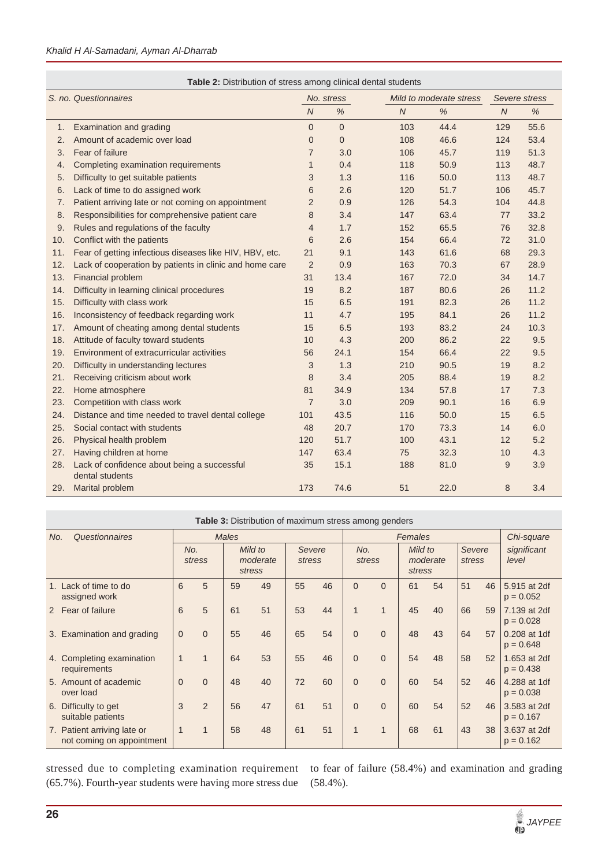|                       | Table 2: Distribution of stress among clinical dental students |                |                |                         |               |                  |      |  |  |  |  |  |
|-----------------------|----------------------------------------------------------------|----------------|----------------|-------------------------|---------------|------------------|------|--|--|--|--|--|
| S. no. Questionnaires |                                                                |                | No. stress     | Mild to moderate stress | Severe stress |                  |      |  |  |  |  |  |
|                       |                                                                | $\overline{N}$ | $\%$           | $\overline{N}$          | $\%$          | $\boldsymbol{N}$ | %    |  |  |  |  |  |
| 1.                    | Examination and grading                                        | $\overline{0}$ | $\overline{0}$ | 103                     | 44.4          | 129              | 55.6 |  |  |  |  |  |
| 2.                    | Amount of academic over load                                   | $\overline{0}$ | $\overline{0}$ | 108                     | 46.6          | 124              | 53.4 |  |  |  |  |  |
| 3.                    | Fear of failure                                                | $\overline{7}$ | 3.0            | 106                     | 45.7          | 119              | 51.3 |  |  |  |  |  |
| 4.                    | Completing examination requirements                            | $\mathbf{1}$   | 0.4            | 118                     | 50.9          | 113              | 48.7 |  |  |  |  |  |
| 5.                    | Difficulty to get suitable patients                            | 3              | 1.3            | 116                     | 50.0          | 113              | 48.7 |  |  |  |  |  |
| 6.                    | Lack of time to do assigned work                               | 6              | 2.6            | 120                     | 51.7          | 106              | 45.7 |  |  |  |  |  |
| 7.                    | Patient arriving late or not coming on appointment             | $\overline{2}$ | 0.9            | 126                     | 54.3          | 104              | 44.8 |  |  |  |  |  |
| 8.                    | Responsibilities for comprehensive patient care                | 8              | 3.4            | 147                     | 63.4          | 77               | 33.2 |  |  |  |  |  |
| 9.                    | Rules and regulations of the faculty                           | $\overline{4}$ | 1.7            | 152                     | 65.5          | 76               | 32.8 |  |  |  |  |  |
| 10.                   | Conflict with the patients                                     | 6              | 2.6            | 154                     | 66.4          | 72               | 31.0 |  |  |  |  |  |
| 11.                   | Fear of getting infectious diseases like HIV, HBV, etc.        | 21             | 9.1            | 143                     | 61.6          | 68               | 29.3 |  |  |  |  |  |
| 12.                   | Lack of cooperation by patients in clinic and home care        | $\overline{2}$ | 0.9            | 163                     | 70.3          | 67               | 28.9 |  |  |  |  |  |
| 13.                   | Financial problem                                              | 31             | 13.4           | 167                     | 72.0          | 34               | 14.7 |  |  |  |  |  |
| 14.                   | Difficulty in learning clinical procedures                     | 19             | 8.2            | 187                     | 80.6          | 26               | 11.2 |  |  |  |  |  |
| 15.                   | Difficulty with class work                                     | 15             | 6.5            | 191                     | 82.3          | 26               | 11.2 |  |  |  |  |  |
| 16.                   | Inconsistency of feedback regarding work                       | 11             | 4.7            | 195                     | 84.1          | 26               | 11.2 |  |  |  |  |  |
| 17.                   | Amount of cheating among dental students                       | 15             | 6.5            | 193                     | 83.2          | 24               | 10.3 |  |  |  |  |  |
| 18.                   | Attitude of faculty toward students                            | 10             | 4.3            | 200                     | 86.2          | 22               | 9.5  |  |  |  |  |  |
| 19.                   | Environment of extracurricular activities                      | 56             | 24.1           | 154                     | 66.4          | 22               | 9.5  |  |  |  |  |  |
| 20.                   | Difficulty in understanding lectures                           | 3              | 1.3            | 210                     | 90.5          | 19               | 8.2  |  |  |  |  |  |
| 21.                   | Receiving criticism about work                                 | 8              | 3.4            | 205                     | 88.4          | 19               | 8.2  |  |  |  |  |  |
| 22.                   | Home atmosphere                                                | 81             | 34.9           | 134                     | 57.8          | 17               | 7.3  |  |  |  |  |  |
| 23.                   | Competition with class work                                    | $\overline{7}$ | 3.0            | 209                     | 90.1          | 16               | 6.9  |  |  |  |  |  |
| 24.                   | Distance and time needed to travel dental college              | 101            | 43.5           | 116                     | 50.0          | 15               | 6.5  |  |  |  |  |  |
| 25.                   | Social contact with students                                   | 48             | 20.7           | 170                     | 73.3          | 14               | 6.0  |  |  |  |  |  |
| 26.                   | Physical health problem                                        | 120            | 51.7           | 100                     | 43.1          | 12               | 5.2  |  |  |  |  |  |
| 27.                   | Having children at home                                        | 147            | 63.4           | 75                      | 32.3          | 10               | 4.3  |  |  |  |  |  |
| 28.                   | Lack of confidence about being a successful<br>dental students | 35             | 15.1           | 188                     | 81.0          | 9                | 3.9  |  |  |  |  |  |
| 29.                   | Marital problem                                                | 173            | 74.6           | 51                      | 22.0          | 8                | 3.4  |  |  |  |  |  |

| Questionnaires<br>No. |                                                          | <b>Males</b>   |             |                               |    |                  | Females |                |              |                               |    |                  | Chi-square |                             |
|-----------------------|----------------------------------------------------------|----------------|-------------|-------------------------------|----|------------------|---------|----------------|--------------|-------------------------------|----|------------------|------------|-----------------------------|
|                       |                                                          | No.<br>stress  |             | Mild to<br>moderate<br>stress |    | Severe<br>stress |         | No.<br>stress  |              | Mild to<br>moderate<br>stress |    | Severe<br>stress |            | significant<br>level        |
|                       | 1. Lack of time to do<br>assigned work                   | 6              | 5           | 59                            | 49 | 55               | 46      | $\overline{0}$ | $\Omega$     | 61                            | 54 | 51               | 46         | 5.915 at 2df<br>$p = 0.052$ |
|                       | 2 Fear of failure                                        | 6              | 5           | 61                            | 51 | 53               | 44      | $\overline{1}$ | $\mathbf{1}$ | 45                            | 40 | 66               | 59         | 7.139 at 2df<br>$p = 0.028$ |
|                       | 3. Examination and grading                               | $\overline{0}$ | $\Omega$    | 55                            | 46 | 65               | 54      | $\overline{0}$ | $\mathbf{0}$ | 48                            | 43 | 64               | 57         | 0.208 at 1df<br>$p = 0.648$ |
|                       | 4. Completing examination<br>requirements                | $\mathbf{1}$   | $\mathbf 1$ | 64                            | 53 | 55               | 46      | $\Omega$       | $\Omega$     | 54                            | 48 | 58               | 52         | 1.653 at 2df<br>$p = 0.438$ |
|                       | 5. Amount of academic<br>over load                       | $\mathbf{0}$   | $\Omega$    | 48                            | 40 | 72               | 60      | $\mathbf{0}$   | $\Omega$     | 60                            | 54 | 52               | 46         | 4.288 at 1df<br>$p = 0.038$ |
|                       | 6. Difficulty to get<br>suitable patients                | 3              | 2           | 56                            | 47 | 61               | 51      | $\Omega$       | $\Omega$     | 60                            | 54 | 52               | 46         | 3.583 at 2df<br>$p = 0.167$ |
|                       | 7. Patient arriving late or<br>not coming on appointment | $\mathbf 1$    |             | 58                            | 48 | 61               | 51      | 1              | $\mathbf{1}$ | 68                            | 61 | 43               | 38         | 3.637 at 2df<br>$p = 0.162$ |

stressed due to completing examination requirement to fear of failure (58.4%) and examination and grading (65.7%). Fourth-year students were having more stress due

(58.4%).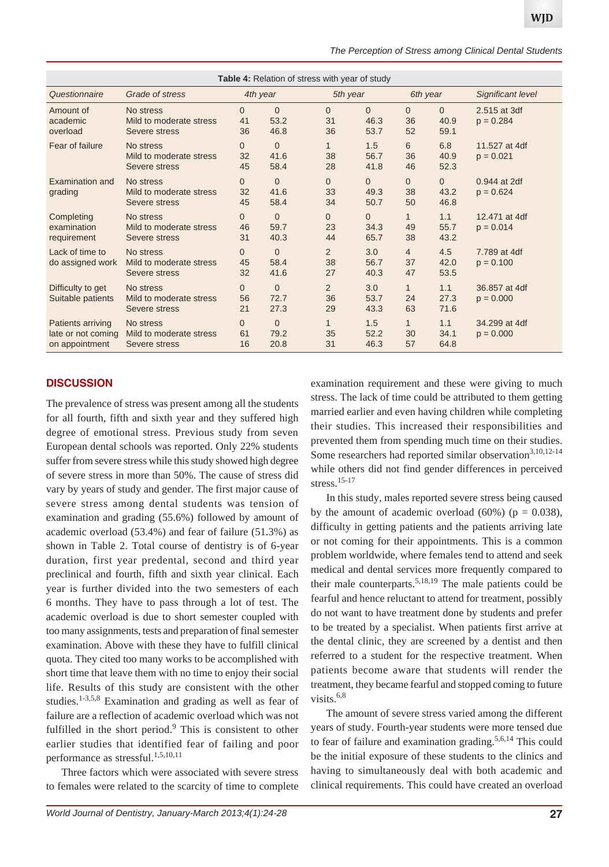|  | The Perception of Stress among Clinical Dental Students |  |  |  |
|--|---------------------------------------------------------|--|--|--|
|  |                                                         |  |  |  |

| <b>Table 4:</b> Relation of stress with year of study     |                                                       |                            |                                |                          |                              |                            |                          |                              |  |  |
|-----------------------------------------------------------|-------------------------------------------------------|----------------------------|--------------------------------|--------------------------|------------------------------|----------------------------|--------------------------|------------------------------|--|--|
| Questionnaire                                             | Grade of stress                                       | 4th year                   |                                |                          | 5th year                     |                            | 6th year                 | Significant level            |  |  |
| Amount of<br>academic<br>overload                         | No stress<br>Mild to moderate stress<br>Severe stress | $\Omega$<br>41<br>36       | $\Omega$<br>53.2<br>46.8       | $\Omega$<br>31<br>36     | $\Omega$<br>46.3<br>53.7     | $\Omega$<br>36<br>52       | $\Omega$<br>40.9<br>59.1 | 2.515 at 3df<br>$p = 0.284$  |  |  |
| Fear of failure                                           | No stress<br>Mild to moderate stress<br>Severe stress | $\mathbf{0}$<br>32<br>45   | $\overline{0}$<br>41.6<br>58.4 | $\mathbf{1}$<br>38<br>28 | 1.5<br>56.7<br>41.8          | 6<br>36<br>46              | 6.8<br>40.9<br>52.3      | 11.527 at 4df<br>$p = 0.021$ |  |  |
| Examination and<br>grading                                | No stress<br>Mild to moderate stress<br>Severe stress | $\overline{0}$<br>32<br>45 | $\Omega$<br>41.6<br>58.4       | $\Omega$<br>33<br>34     | $\Omega$<br>49.3<br>50.7     | $\mathbf{0}$<br>38<br>50   | $\Omega$<br>43.2<br>46.8 | 0.944 at 2df<br>$p = 0.624$  |  |  |
| Completing<br>examination<br>requirement                  | No stress<br>Mild to moderate stress<br>Severe stress | $\overline{0}$<br>46<br>31 | $\Omega$<br>59.7<br>40.3       | $\Omega$<br>23<br>44     | $\mathbf{0}$<br>34.3<br>65.7 | $\mathbf{1}$<br>49<br>38   | 1.1<br>55.7<br>43.2      | 12.471 at 4df<br>$p = 0.014$ |  |  |
| Lack of time to<br>do assigned work                       | No stress<br>Mild to moderate stress<br>Severe stress | $\overline{0}$<br>45<br>32 | $\overline{0}$<br>58.4<br>41.6 | 2<br>38<br>27            | 3.0<br>56.7<br>40.3          | $\overline{4}$<br>37<br>47 | 4.5<br>42.0<br>53.5      | 7.789 at 4df<br>$p = 0.100$  |  |  |
| Difficulty to get<br>Suitable patients                    | No stress<br>Mild to moderate stress<br>Severe stress | $\Omega$<br>56<br>21       | $\Omega$<br>72.7<br>27.3       | 2<br>36<br>29            | 3.0<br>53.7<br>43.3          | $\mathbf{1}$<br>24<br>63   | 1.1<br>27.3<br>71.6      | 36,857 at 4df<br>$p = 0.000$ |  |  |
| Patients arriving<br>late or not coming<br>on appointment | No stress<br>Mild to moderate stress<br>Severe stress | $\Omega$<br>61<br>16       | $\Omega$<br>79.2<br>20.8       | $\mathbf{1}$<br>35<br>31 | 1.5<br>52.2<br>46.3          | $\mathbf{1}$<br>30<br>57   | 1.1<br>34.1<br>64.8      | 34.299 at 4df<br>$p = 0.000$ |  |  |

## **DISCUSSION**

The prevalence of stress was present among all the students for all fourth, fifth and sixth year and they suffered high degree of emotional stress. Previous study from seven European dental schools was reported. Only 22% students suffer from severe stress while this study showed high degree of severe stress in more than 50%. The cause of stress did vary by years of study and gender. The first major cause of severe stress among dental students was tension of examination and grading (55.6%) followed by amount of academic overload (53.4%) and fear of failure (51.3%) as shown in Table 2. Total course of dentistry is of 6-year duration, first year predental, second and third year preclinical and fourth, fifth and sixth year clinical. Each year is further divided into the two semesters of each 6 months. They have to pass through a lot of test. The academic overload is due to short semester coupled with too many assignments, tests and preparation of final semester examination. Above with these they have to fulfill clinical quota. They cited too many works to be accomplished with short time that leave them with no time to enjoy their social life. Results of this study are consistent with the other studies.<sup>1-3,5,8</sup> Examination and grading as well as fear of failure are a reflection of academic overload which was not fulfilled in the short period.<sup>9</sup> This is consistent to other earlier studies that identified fear of failing and poor performance as stressful.1,5,10,11

Three factors which were associated with severe stress to females were related to the scarcity of time to complete

examination requirement and these were giving to much stress. The lack of time could be attributed to them getting married earlier and even having children while completing their studies. This increased their responsibilities and prevented them from spending much time on their studies. Some researchers had reported similar observation<sup>3,10,12-14</sup> while others did not find gender differences in perceived stress.15-17

In this study, males reported severe stress being caused by the amount of academic overload  $(60\%)$  ( $p = 0.038$ ), difficulty in getting patients and the patients arriving late or not coming for their appointments. This is a common problem worldwide, where females tend to attend and seek medical and dental services more frequently compared to their male counterparts.<sup>5,18,19</sup> The male patients could be fearful and hence reluctant to attend for treatment, possibly do not want to have treatment done by students and prefer to be treated by a specialist. When patients first arrive at the dental clinic, they are screened by a dentist and then referred to a student for the respective treatment. When patients become aware that students will render the treatment, they became fearful and stopped coming to future visits. $6,8$ 

The amount of severe stress varied among the different years of study. Fourth-year students were more tensed due to fear of failure and examination grading.<sup>5,6,14</sup> This could be the initial exposure of these students to the clinics and having to simultaneously deal with both academic and clinical requirements. This could have created an overload